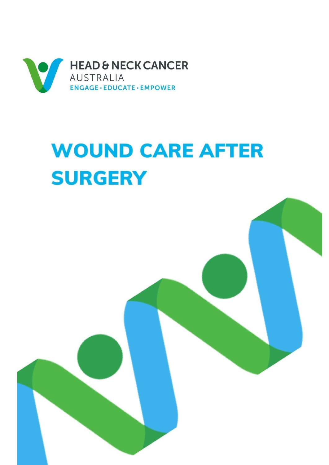

# **WOUND CARE AFTER SURGERY**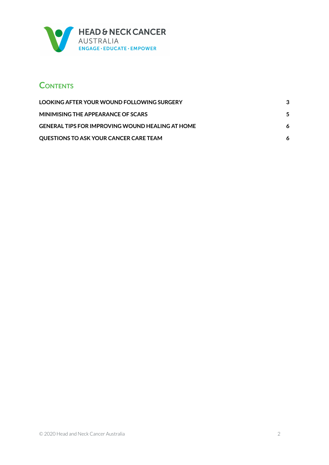

### **CONTENTS**

| <b>LOOKING AFTER YOUR WOUND FOLLOWING SURGERY</b>       |   |
|---------------------------------------------------------|---|
| MINIMISING THE APPEARANCE OF SCARS                      | 5 |
| <b>GENERAL TIPS FOR IMPROVING WOUND HEALING AT HOME</b> |   |
| <b>OUESTIONS TO ASK YOUR CANCER CARE TEAM</b>           |   |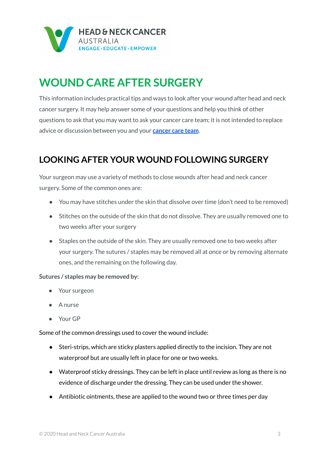

## **WOUND CARE AFTER SURGERY**

This information includes practical tips and ways to look after your wound after head and neck cancer surgery. It may help answer some of your questions and help you think of other questions to ask that you may want to ask your cancer care team; it is not intended to replace advice or discussion between you and your **[cancer](https://www.headandneckcancer.org.au/diagnosis/the-cancer-care-team) care team**.

### <span id="page-2-0"></span>**LOOKING AFTER YOUR WOUND FOLLOWING SURGERY**

Your surgeon may use a variety of methods to close wounds after head and neck cancer surgery. Some of the common ones are:

- You may have stitches under the skin that dissolve over time (don't need to be removed)
- Stitches on the outside of the skin that do not dissolve. They are usually removed one to two weeks after your surgery
- Staples on the outside of the skin. They are usually removed one to two weeks after your surgery. The sutures / staples may be removed all at once or by removing alternate ones, and the remaining on the following day.

#### **Sutures / staples may be removed by:**

- Your surgeon
- A nurse
- Your GP

Some of the common dressings used to cover the wound include:

- Steri-strips, which are sticky plasters applied directly to the incision. They are not waterproof but are usually left in place for one or two weeks.
- Waterproof sticky dressings. They can be left in place until review as long as there is no evidence of discharge under the dressing. They can be used under the shower.
- Antibiotic ointments, these are applied to the wound two or three times per day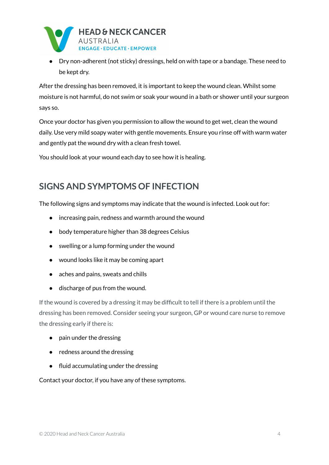

● Dry non-adherent (not sticky) dressings, held on with tape or a bandage. These need to be kept dry.

After the dressing has been removed, it is important to keep the wound clean. Whilst some moisture is not harmful, do not swim or soak your wound in a bath or shower until your surgeon says so.

Once your doctor has given you permission to allow the wound to get wet, clean the wound daily. Use very mild soapy water with gentle movements. Ensure you rinse off with warm water and gently pat the wound dry with a clean fresh towel.

You should look at your wound each day to see how it is healing.

#### **SIGNS AND SYMPTOMS OF INFECTION**

The following signs and symptoms may indicate that the wound is infected. Look out for:

- increasing pain, redness and warmth around the wound
- body temperature higher than 38 degrees Celsius
- swelling or a lump forming under the wound
- wound looks like it may be coming apart
- aches and pains, sweats and chills
- discharge of pus from the wound.

If the wound is covered by a dressing it may be difficult to tell if there is a problem until the dressing has been removed. Consider seeing your surgeon, GP or wound care nurse to remove the dressing early if there is:

- pain under the dressing
- redness around the dressing
- fluid accumulating under the dressing

Contact your doctor, if you have any of these symptoms.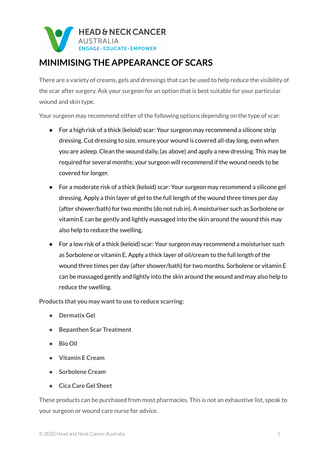

## <span id="page-4-0"></span>**MINIMISING THE APPEARANCE OF SCARS**

There are a variety of creams, gels and dressings that can be used to help reduce the visibility of the scar after surgery. Ask your surgeon for an option that is best suitable for your particular wound and skin type.

Your surgeon may recommend either of the following options depending on the type of scar:

- For a high risk of a thick (keloid) scar: Your surgeon may recommend a silicone strip dressing. Cut dressing to size, ensure your wound is covered all-day long, even when you are asleep. Clean the wound daily, (as above) and apply a new dressing. This may be required for several months; your surgeon will recommend if the wound needs to be covered for longer.
- For a moderate risk of a thick (keloid) scar: Your surgeon may recommend a silicone gel dressing. Apply a thin layer of gel to the full length of the wound three times per day (after shower/bath) for two months (do not rub in). A moisturiser such as Sorbolene or vitamin E can be gently and lightly massaged into the skin around the wound this may also help to reduce the swelling.
- For a low risk of a thick (keloid) scar: Your surgeon may recommend a moisturiser such as Sorbolene or vitamin E. Apply a thick layer of oil/cream to the full length of the wound three times per day (after shower/bath) for two months. Sorbolene or vitamin E can be massaged gently and lightly into the skin around the wound and may also help to reduce the swelling.

**Products that you may want to use to reduce scarring:** 

- **● Dermatix Gel**
- **● Bepanthen Scar Treatment**
- **● Bio Oil**
- **● Vitamin E Cream**
- **● Sorbolene Cream**
- **● Cica Care Gel Sheet**

These products can be purchased from most pharmacies. This is not an exhaustive list, speak to your surgeon or wound care nurse for advice.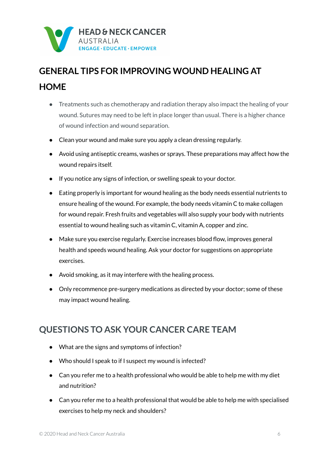

# <span id="page-5-0"></span>**GENERAL TIPS FOR IMPROVING WOUND HEALING AT HOME**

- Treatments such as chemotherapy and radiation therapy also impact the healing of your wound. Sutures may need to be left in place longer than usual. There is a higher chance of wound infection and wound separation.
- Clean your wound and make sure you apply a clean dressing regularly.
- Avoid using antiseptic creams, washes or sprays. These preparations may affect how the wound repairs itself.
- If you notice any signs of infection, or swelling speak to your doctor.
- Eating properly is important for wound healing as the body needs essential nutrients to ensure healing of the wound. For example, the body needs vitamin C to make collagen for wound repair. Fresh fruits and vegetables will also supply your body with nutrients essential to wound healing such as vitamin C, vitamin A, copper and zinc.
- Make sure you exercise regularly. Exercise increases blood flow, improves general health and speeds wound healing. Ask your doctor for suggestions on appropriate exercises.
- Avoid smoking, as it may interfere with the healing process.
- Only recommence pre-surgery medications as directed by your doctor; some of these may impact wound healing.

#### <span id="page-5-1"></span>**QUESTIONS TO ASK YOUR CANCER CARE TEAM**

- What are the signs and symptoms of infection?
- Who should I speak to if I suspect my wound is infected?
- Can you refer me to a health professional who would be able to help me with my diet and nutrition?
- Can you refer me to a health professional that would be able to help me with specialised exercises to help my neck and shoulders?